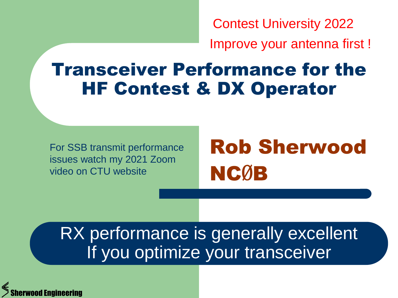Contest University 2022

Improve your antenna first !

### Transceiver Performance for the HF Contest & DX Operator

For SSB transmit performance issues watch my 2021 Zoom video on CTU website

# Rob Sherwood NCØB

#### RX performance is generally excellent If you optimize your transceiver

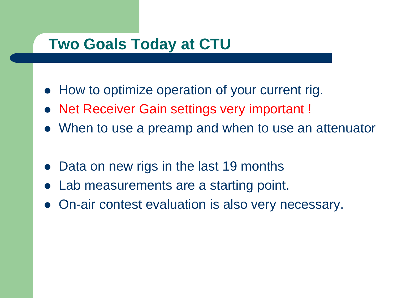#### **Two Goals Today at CTU**

- How to optimize operation of your current rig.
- Net Receiver Gain settings very important !
- When to use a preamp and when to use an attenuator
- Data on new rigs in the last 19 months
- Lab measurements are a starting point.
- On-air contest evaluation is also very necessary.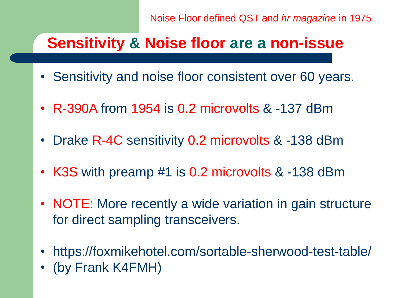Noise Floor defined QST and *hr magazine* in 1975

#### **Sensitivity & Noise floor are a non-issue**

- Sensitivity and noise floor consistent over 60 years.
- R-390A from 1954 is 0.2 microvolts & -137 dBm
- Drake R-4C sensitivity 0.2 microvolts & -138 dBm
- K3S with preamp #1 is 0.2 microvolts & -138 dBm
- NOTE: More recently a wide variation in gain structure for direct sampling transceivers.
- https://foxmikehotel.com/sortable-sherwood-test-table/
- (by Frank K4FMH)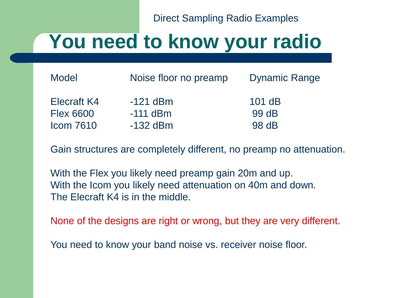Direct Sampling Radio Examples

# **You need to know your radio**

| Model            | Noise floor no preamp | <b>Dynamic Range</b> |
|------------------|-----------------------|----------------------|
| Elecraft K4      | $-121$ dBm            | $101$ dB             |
| <b>Flex 6600</b> | $-111$ dBm            | 99 dB                |
| <b>Icom 7610</b> | $-132$ dBm            | 98 dB                |

Gain structures are completely different, no preamp no attenuation.

With the Flex you likely need preamp gain 20m and up. With the Icom you likely need attenuation on 40m and down. The Elecraft K4 is in the middle.

None of the designs are right or wrong, but they are very different.

You need to know your band noise vs. receiver noise floor.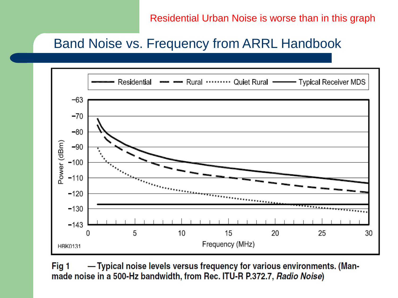Residential Urban Noise is worse than in this graph

#### Band Noise vs. Frequency from ARRL Handbook



Fig 1 -Typical noise levels versus frequency for various environments. (Manmade noise in a 500-Hz bandwidth, from Rec. ITU-R P.372.7, Radio Noise)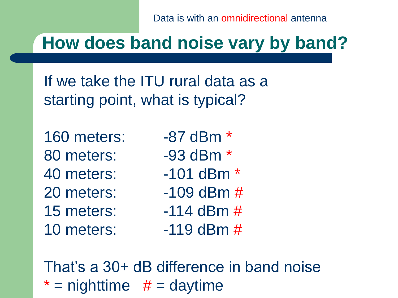Data is with an omnidirectional antenna

## **How does band noise vary by band?**

If we take the ITU rural data as a starting point, what is typical?

160 meters: -87 dBm \* 80 meters: -93 dBm \* 40 meters: -101 dBm \* 20 meters: -109 dBm # 15 meters: -114 dBm # 10 meters: -119 dBm #

- 
- 
- 
- 
- 

That's a 30+ dB difference in band noise  $*$  = nighttime  $#$  = daytime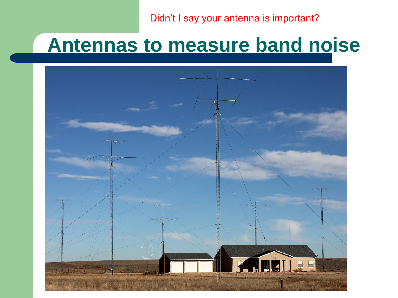Didn't I say your antenna is important?

# **Antennas to measure band noise**

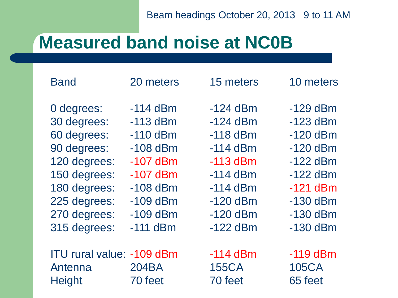### **Measured band noise at NC0B**

0 degrees:  $-114$  dBm  $-124$  dBm  $-129$  dBm 30 degrees: -113 dBm -124 dBm -123 dBm 60 degrees: -110 dBm -118 dBm -120 dBm 90 degrees: -108 dBm -114 dBm -120 dBm 120 degrees: -107 dBm -113 dBm -122 dBm 150 degrees: -107 dBm -114 dBm -122 dBm 180 degrees: -108 dBm -114 dBm -121 dBm 225 degrees: -109 dBm -120 dBm -130 dBm 270 degrees: -109 dBm -120 dBm -130 dBm 315 degrees: -111 dBm -122 dBm -130 dBm

| -114 dBM   |
|------------|
| -113 dBm   |
| -110 dBm   |
| $-108$ dBm |
| $-107$ dBm |
| -107 dBm   |
| $-108$ dBm |
| -109 dBm   |
| -109 dBm   |
| -111 dBm   |
|            |
|            |

| <b>ITU rural value: -109 dBm</b> |         |
|----------------------------------|---------|
| Antenna                          | 204BA   |
| <b>Height</b>                    | 70 feet |

| -124 dBm   |
|------------|
| -124 dBm   |
| -118 dBm   |
| $-114$ dBm |
| $-113$ dBm |
| $-114$ dBm |
| $-114$ dBm |
| $-120$ dBm |
| -120 dBm   |
| -122 dBm   |
|            |
| -114 dBm   |

20 meters 15 meters 10 meters

 $-119$  dBm 155CA 105CA 70 feet 65 feet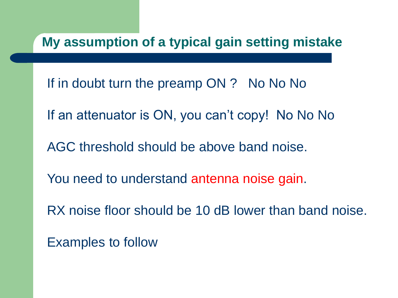**My assumption of a typical gain setting mistake**

If in doubt turn the preamp ON ? No No No

If an attenuator is ON, you can't copy! No No No

AGC threshold should be above band noise.

You need to understand antenna noise gain.

RX noise floor should be 10 dB lower than band noise.

Examples to follow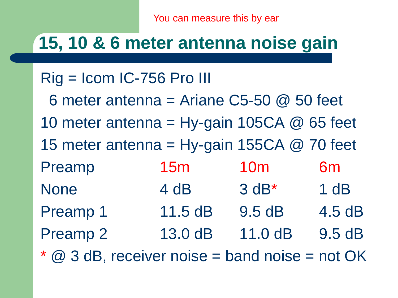You can measure this by ear

### **15, 10 & 6 meter antenna noise gain**

#### Rig = Icom IC-756 Pro III

6 meter antenna = Ariane  $C5-50$  @ 50 feet 10 meter antenna = Hy-gain 105CA  $@$  65 feet 15 meter antenna = Hy-gain 155CA  $@$  70 feet Preamp 15m 10m 6m None 4 dB 3 dB\* 1 dB Preamp 1 11.5 dB 9.5 dB 4.5 dB Preamp 2 13.0 dB 11.0 dB 9.5 dB

 $@$  3 dB, receiver noise = band noise = not OK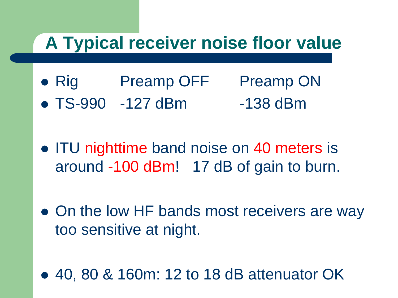### **A Typical receiver noise floor value**

- Rig Preamp OFF Preamp ON
- TS-990 -127 dBm -138 dBm
- ITU nighttime band noise on 40 meters is around -100 dBm! 17 dB of gain to burn.
- On the low HF bands most receivers are way too sensitive at night.
- 40, 80 & 160m: 12 to 18 dB attenuator OK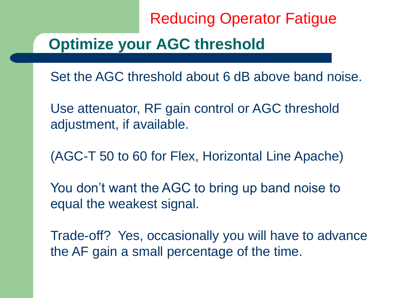Reducing Operator Fatigue

#### **Optimize your AGC threshold**

Set the AGC threshold about 6 dB above band noise.

Use attenuator, RF gain control or AGC threshold adjustment, if available.

(AGC-T 50 to 60 for Flex, Horizontal Line Apache)

You don't want the AGC to bring up band noise to equal the weakest signal.

Trade-off? Yes, occasionally you will have to advance the AF gain a small percentage of the time.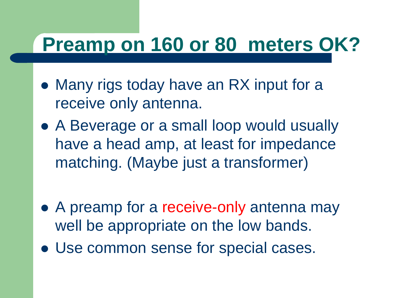# **Preamp on 160 or 80 meters OK?**

- Many rigs today have an RX input for a receive only antenna.
- A Beverage or a small loop would usually have a head amp, at least for impedance matching. (Maybe just a transformer)
- A preamp for a receive-only antenna may well be appropriate on the low bands.
- Use common sense for special cases.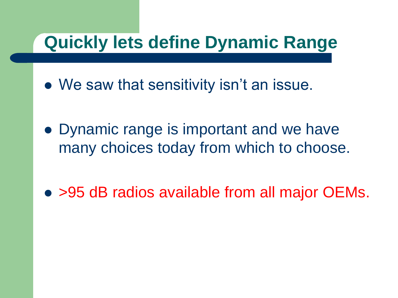### **Quickly lets define Dynamic Range**

- We saw that sensitivity isn't an issue.
- Dynamic range is important and we have many choices today from which to choose.
- > 95 dB radios available from all major OEMs.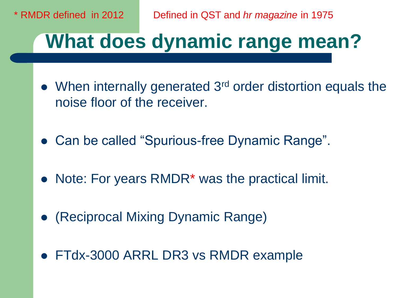\* RMDR defined in 2012 Defined in QST and *hr magazine* in 1975

# **What does dynamic range mean?**

- When internally generated 3<sup>rd</sup> order distortion equals the noise floor of the receiver.
- Can be called "Spurious-free Dynamic Range".
- Note: For years RMDR<sup>\*</sup> was the practical limit.
- (Reciprocal Mixing Dynamic Range)
- FTdx-3000 ARRL DR3 vs RMDR example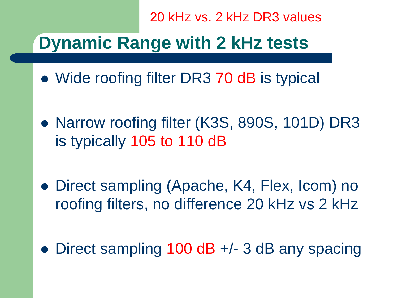20 kHz vs. 2 kHz DR3 values

## **Dynamic Range with 2 kHz tests**

- Wide roofing filter DR3 70 dB is typical
- Narrow roofing filter (K3S, 890S, 101D) DR3 is typically 105 to 110 dB
- Direct sampling (Apache, K4, Flex, Icom) no roofing filters, no difference 20 kHz vs 2 kHz
- Direct sampling 100 dB +/- 3 dB any spacing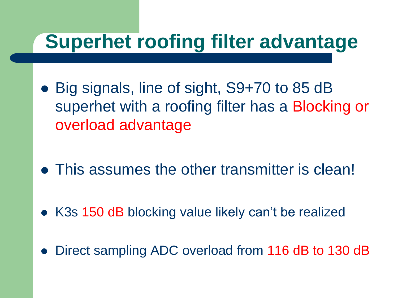# **Superhet roofing filter advantage**

- Big signals, line of sight, S9+70 to 85 dB superhet with a roofing filter has a Blocking or overload advantage
- This assumes the other transmitter is clean!
- K3s 150 dB blocking value likely can't be realized
- Direct sampling ADC overload from 116 dB to 130 dB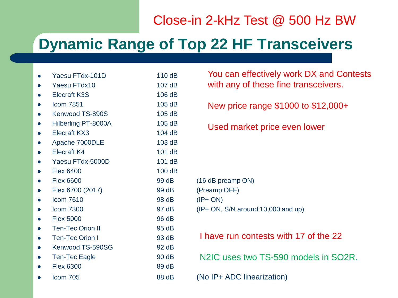#### Close-in 2-kHz Test @ 500 Hz BW

#### **Dynamic Range of Top 22 HF Transceivers**

| Yaesu FTdx-101D            | 110dB  |
|----------------------------|--------|
| Yaesu FTdx10               | 107dB  |
| <b>Elecraft K3S</b>        | 106 dB |
| <b>Icom 7851</b>           | 105dB  |
| Kenwood TS-890S            | 105 dB |
| <b>Hilberling PT-8000A</b> | 105 dB |
| <b>Elecraft KX3</b>        | 104 dB |
| Apache 7000DLE             | 103 dB |
| <b>Elecraft K4</b>         | 101 dB |
| Yaesu FTdx-5000D           | 101 dB |
| <b>Flex 6400</b>           | 100 dB |
| <b>Flex 6600</b>           | 99 dB  |
| Flex 6700 (2017)           | 99 dB  |
| <b>Icom 7610</b>           | 98 dB  |
| <b>Icom 7300</b>           | 97 dB  |
| <b>Flex 5000</b>           | 96 dB  |
| <b>Ten-Tec Orion II</b>    | 95 dB  |
| <b>Ten-Tec Orion I</b>     | 93 dB  |
| Kenwood TS-590SG           | 92 dB  |
| <b>Ten-Tec Eagle</b>       | 90 dB  |
| <b>Flex 6300</b>           | 89 dB  |
| Icom 705                   | 88 dB  |
|                            |        |

| You can effectively work DX and Contests |
|------------------------------------------|
| with any of these fine transceivers.     |

New price range \$1000 to \$12,000+

Used market price even lower

```
(16 dB preamp ON)
(Preamp OFF)
```

```
(IP+ ON)
```

```
I(P+ ON, S/N around 10,000 and up)
```

```
(No IP+ ADC linearization)
I have run contests with 17 of the 22
N2IC uses two TS-590 models in SO2R.
```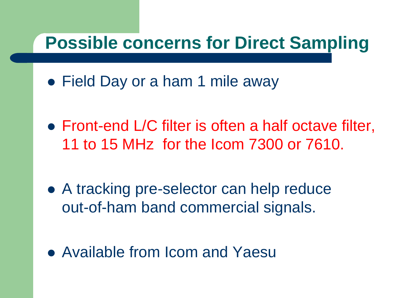### **Possible concerns for Direct Sampling**

- Field Day or a ham 1 mile away
- Front-end L/C filter is often a half octave filter, 11 to 15 MHz for the Icom 7300 or 7610.
- A tracking pre-selector can help reduce out-of-ham band commercial signals.
- Available from Icom and Yaesu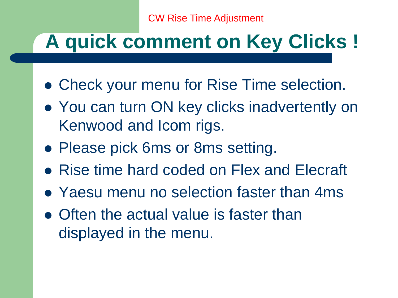# **A quick comment on Key Clicks !**

- Check your menu for Rise Time selection.
- You can turn ON key clicks inadvertently on Kenwood and Icom rigs.
- Please pick 6ms or 8ms setting.
- Rise time hard coded on Flex and Elecraft
- Yaesu menu no selection faster than 4ms
- Often the actual value is faster than displayed in the menu.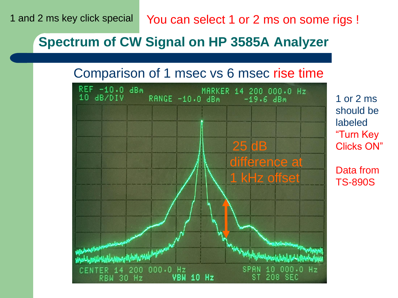You can select 1 or 2 ms on some rigs !

#### **Spectrum of CW Signal on HP 3585A Analyzer**

#### Comparison of 1 msec vs 6 msec rise time



1 or 2 ms should be labeled "Turn Key Clicks ON"

Data from TS-890S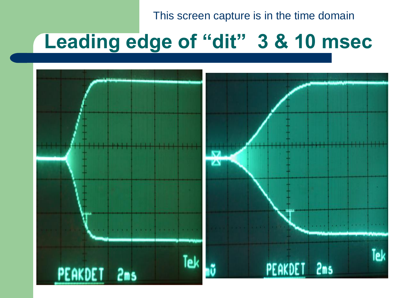This screen capture is in the time domain

# **Leading edge of "dit" 3 & 10 msec**

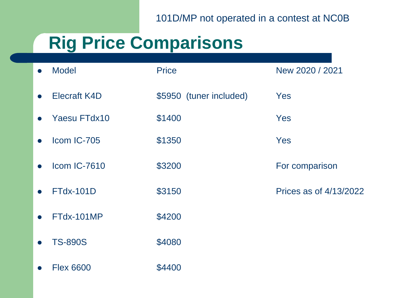101D/MP not operated in a contest at NC0B

# **Rig Price Comparisons**

| <b>Model</b><br>$\bullet$        | <b>Price</b>            | New 2020 / 2021        |
|----------------------------------|-------------------------|------------------------|
| <b>Elecraft K4D</b><br>$\bullet$ | \$5950 (tuner included) | Yes                    |
| <b>Yaesu FTdx10</b>              | \$1400                  | Yes                    |
| Icom IC-705<br>$\bullet$         | \$1350                  | Yes                    |
| <b>Icom IC-7610</b>              | \$3200                  | For comparison         |
| <b>FTdx-101D</b>                 | \$3150                  | Prices as of 4/13/2022 |
| FTdx-101MP                       | \$4200                  |                        |
| <b>TS-890S</b><br>$\bullet$      | \$4080                  |                        |
| <b>Flex 6600</b>                 | \$4400                  |                        |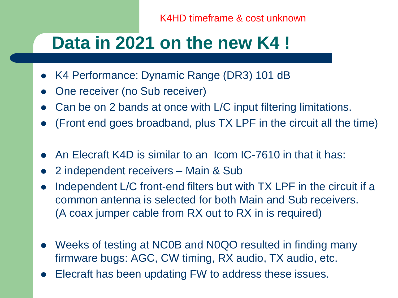K4HD timeframe & cost unknown

### **Data in 2021 on the new K4 !**

- K4 Performance: Dynamic Range (DR3) 101 dB
- One receiver (no Sub receiver)
- Can be on 2 bands at once with L/C input filtering limitations.
- (Front end goes broadband, plus TX LPF in the circuit all the time)
- An Elecraft K4D is similar to an Icom IC-7610 in that it has:
- 2 independent receivers Main & Sub
- Independent L/C front-end filters but with TX LPF in the circuit if a common antenna is selected for both Main and Sub receivers. (A coax jumper cable from RX out to RX in is required)
- Weeks of testing at NC0B and N0QO resulted in finding many firmware bugs: AGC, CW timing, RX audio, TX audio, etc.
- Elecraft has been updating FW to address these issues.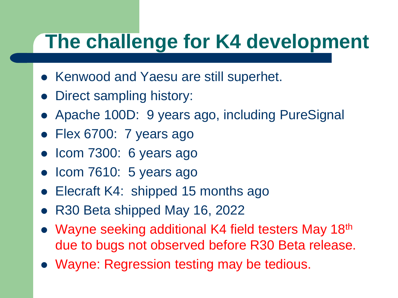# **The challenge for K4 development**

- Kenwood and Yaesu are still superhet.
- Direct sampling history:
- Apache 100D: 9 years ago, including PureSignal
- Flex 6700: 7 years ago
- Icom 7300: 6 years ago
- Icom 7610: 5 years ago
- Elecraft K4: shipped 15 months ago
- R30 Beta shipped May 16, 2022
- Wayne seeking additional K4 field testers May 18<sup>th</sup> due to bugs not observed before R30 Beta release.
- Wayne: Regression testing may be tedious.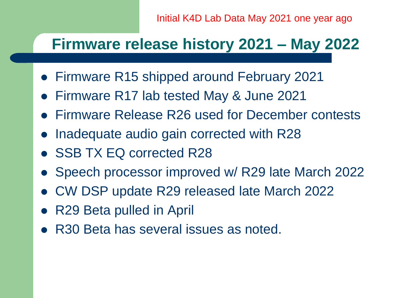#### **Firmware release history 2021 – May 2022**

- Firmware R15 shipped around February 2021
- Firmware R17 lab tested May & June 2021
- Firmware Release R26 used for December contests
- Inadequate audio gain corrected with R28
- SSB TX EQ corrected R28
- Speech processor improved w/ R29 late March 2022
- CW DSP update R29 released late March 2022
- R29 Beta pulled in April
- R30 Beta has several issues as noted.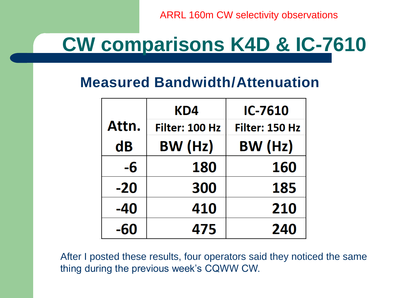ARRL 160m CW selectivity observations

# **CW comparisons K4D & IC-7610**

#### **Measured Bandwidth/Attenuation**

|       | KD4            | <b>IC-7610</b> |
|-------|----------------|----------------|
| Attn. | Filter: 100 Hz | Filter: 150 Hz |
| dB    | BW (Hz)        | BW (Hz)        |
| -6    | 180            | 160            |
| $-20$ | 300            | 185            |
| -40   | 410            | 210            |
| -60   | 475            | 240            |

After I posted these results, four operators said they noticed the same thing during the previous week's CQWW CW.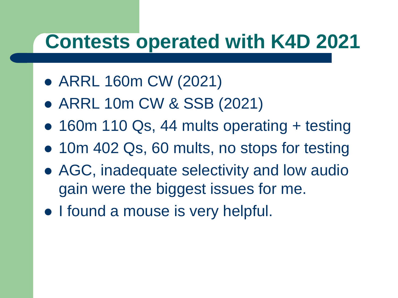# **Contests operated with K4D 2021**

- ARRL 160m CW (2021)
- ARRL 10m CW & SSB (2021)
- 160m 110 Qs, 44 mults operating + testing
- 10m 402 Qs, 60 mults, no stops for testing
- AGC, inadequate selectivity and low audio gain were the biggest issues for me.
- I found a mouse is very helpful.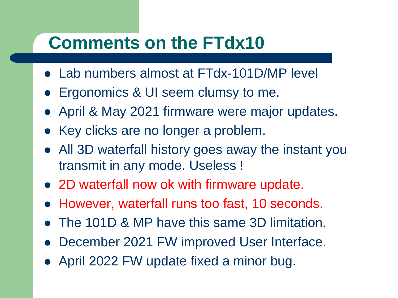#### **Comments on the FTdx10**

- Lab numbers almost at FTdx-101D/MP level
- Ergonomics & UI seem clumsy to me.
- April & May 2021 firmware were major updates.
- Key clicks are no longer a problem.
- All 3D waterfall history goes away the instant you transmit in any mode. Useless !
- 2D waterfall now ok with firmware update.
- However, waterfall runs too fast, 10 seconds.
- The 101D & MP have this same 3D limitation.
- December 2021 FW improved User Interface.
- April 2022 FW update fixed a minor bug.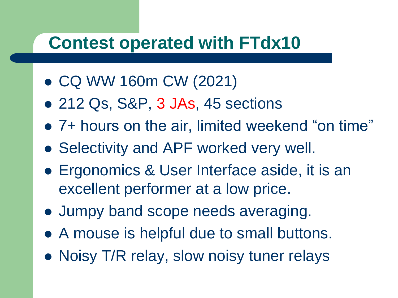### **Contest operated with FTdx10**

- CQ WW 160m CW (2021)
- 212 Qs, S&P, 3 JAs, 45 sections
- 7+ hours on the air, limited weekend "on time"
- Selectivity and APF worked very well.
- Ergonomics & User Interface aside, it is an excellent performer at a low price.
- Jumpy band scope needs averaging.
- A mouse is helpful due to small buttons.
- Noisy T/R relay, slow noisy tuner relays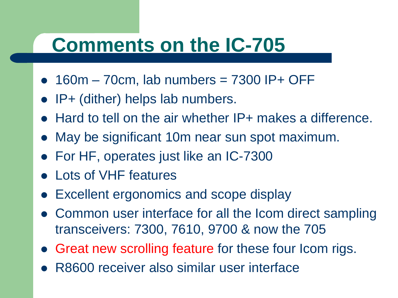## **Comments on the IC-705**

- $\bullet$  160m 70cm, lab numbers = 7300 IP+ OFF
- IP+ (dither) helps lab numbers.
- Hard to tell on the air whether IP+ makes a difference.
- May be significant 10m near sun spot maximum.
- For HF, operates just like an IC-7300
- Lots of VHF features
- Excellent ergonomics and scope display
- Common user interface for all the Icom direct sampling transceivers: 7300, 7610, 9700 & now the 705
- Great new scrolling feature for these four Icom rigs.
- R8600 receiver also similar user interface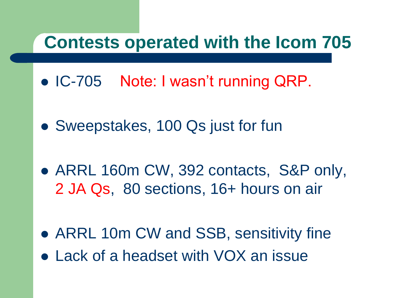#### **Contests operated with the Icom 705**

- IC-705 Note: I wasn't running QRP.
- Sweepstakes, 100 Qs just for fun
- ARRL 160m CW, 392 contacts, S&P only, 2 JA Qs, 80 sections, 16+ hours on air
- ARRL 10m CW and SSB, sensitivity fine Lack of a headset with VOX an issue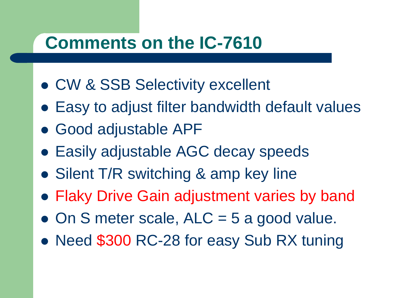#### **Comments on the IC-7610**

- CW & SSB Selectivity excellent
- Easy to adjust filter bandwidth default values
- Good adjustable APF
- Easily adjustable AGC decay speeds
- Silent T/R switching & amp key line
- Flaky Drive Gain adjustment varies by band
- $\bullet$  On S meter scale, ALC = 5 a good value.
- Need \$300 RC-28 for easy Sub RX tuning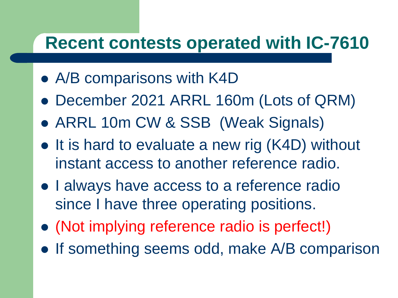### **Recent contests operated with IC-7610**

- A/B comparisons with K4D
- December 2021 ARRL 160m (Lots of QRM)
- ARRL 10m CW & SSB (Weak Signals)
- It is hard to evaluate a new rig (K4D) without instant access to another reference radio.
- I always have access to a reference radio since I have three operating positions.
- (Not implying reference radio is perfect!)
- If something seems odd, make A/B comparison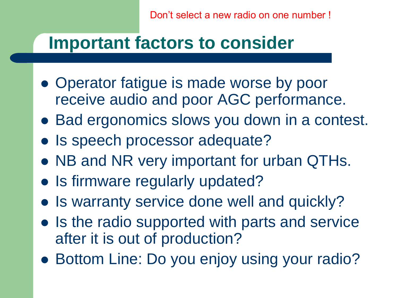Don't select a new radio on one number !

### **Important factors to consider**

- Operator fatigue is made worse by poor receive audio and poor AGC performance.
- Bad ergonomics slows you down in a contest.
- Is speech processor adequate?
- NB and NR very important for urban QTHs.
- Is firmware regularly updated?
- Is warranty service done well and quickly?
- Is the radio supported with parts and service after it is out of production?
- Bottom Line: Do you enjoy using your radio?